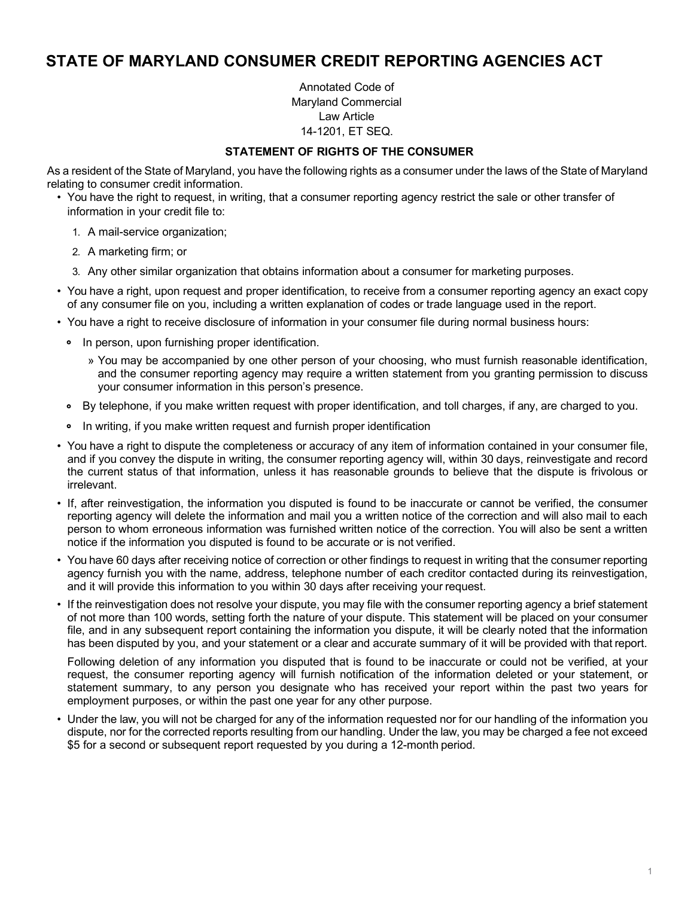## **STATE OF MARYLAND CONSUMER CREDIT REPORTING AGENCIES ACT**

Annotated Code of Maryland Commercial Law Article 14-1201, ET SEQ.

## **STATEMENT OF RIGHTS OF THE CONSUMER**

As a resident of the State of Maryland, you have the following rights as a consumer under the laws of the State of Maryland relating to consumer credit information.

- You have the right to request, in writing, that a consumer reporting agency restrict the sale or other transfer of information in your credit file to:
	- 1. A mail-service organization;
	- 2. A marketing firm; or
	- 3. Any other similar organization that obtains information about a consumer for marketing purposes.
- You have a right, upon request and proper identification, to receive from a consumer reporting agency an exact copy of any consumer file on you, including a written explanation of codes or trade language used in the report.
- You have a right to receive disclosure of information in your consumer file during normal business hours:
	- In person, upon furnishing proper identification.
		- » You may be accompanied by one other person of your choosing, who must furnish reasonable identification, and the consumer reporting agency may require a written statement from you granting permission to discuss your consumer information in this person's presence.
	- By telephone, if you make written request with proper identification, and toll charges, if any, are charged to you.
	- In writing, if you make written request and furnish proper identification
- You have a right to dispute the completeness or accuracy of any item of information contained in your consumer file, and if you convey the dispute in writing, the consumer reporting agency will, within 30 days, reinvestigate and record the current status of that information, unless it has reasonable grounds to believe that the dispute is frivolous or irrelevant.
- If, after reinvestigation, the information you disputed is found to be inaccurate or cannot be verified, the consumer reporting agency will delete the information and mail you a written notice of the correction and will also mail to each person to whom erroneous information was furnished written notice of the correction. You will also be sent a written notice if the information you disputed is found to be accurate or is not verified.
- You have 60 days after receiving notice of correction or other findings to request in writing that the consumer reporting agency furnish you with the name, address, telephone number of each creditor contacted during its reinvestigation, and it will provide this information to you within 30 days after receiving your request.
- If the reinvestigation does not resolve your dispute, you may file with the consumer reporting agency a brief statement of not more than 100 words, setting forth the nature of your dispute. This statement will be placed on your consumer file, and in any subsequent report containing the information you dispute, it will be clearly noted that the information has been disputed by you, and your statement or a clear and accurate summary of it will be provided with that report.

Following deletion of any information you disputed that is found to be inaccurate or could not be verified, at your request, the consumer reporting agency will furnish notification of the information deleted or your statement, or statement summary, to any person you designate who has received your report within the past two years for employment purposes, or within the past one year for any other purpose.

• Under the law, you will not be charged for any of the information requested nor for our handling of the information you dispute, nor for the corrected reports resulting from our handling. Under the law, you may be charged a fee not exceed \$5 for a second or subsequent report requested by you during a 12-month period.